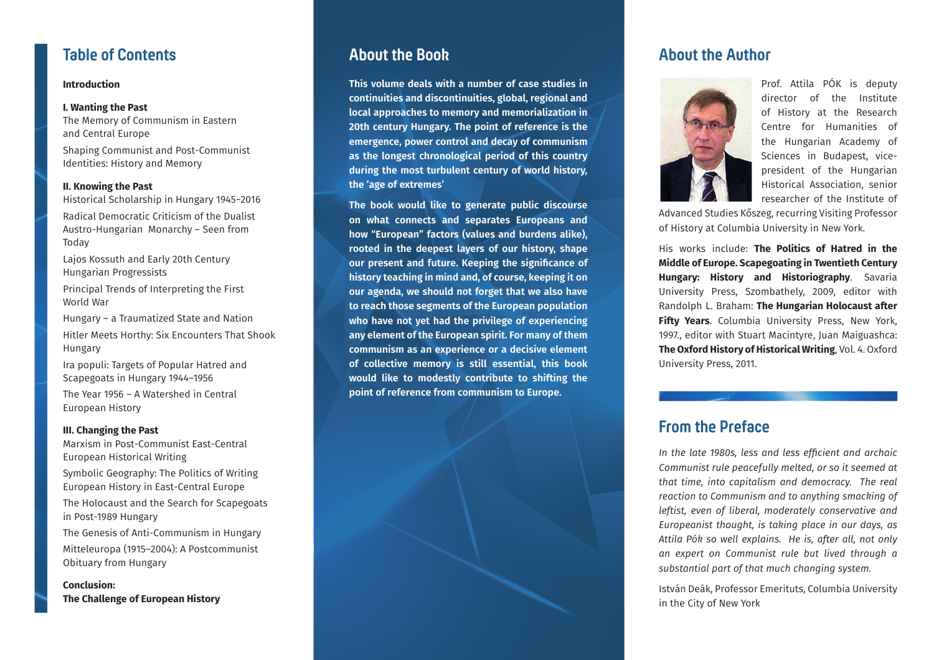

# **Introduction**

## **I. Wanting the Past**

The Memory of Communism in Eastern and Central Europe

Shaping Communist and Post-Communist Identities: History and Memory

## **II. Knowing the Past**

Historical Scholarship in Hungary 1945−2016 Radical Democratic Criticism of the Dualist Austro-Hungarian Monarchy – Seen from Today

Lajos Kossuth and Early 20th Century Hungarian Progressists

Principal Trends of Interpreting the First World War

Hungary – a Traumatized State and Nation Hitler Meets Horthy: Six Encounters That Shook Hungary

Ira populi: Targets of Popular Hatred and Scapegoats in Hungary 1944–1956

The Year 1956 – A Watershed in Central European History

### **III. Changing the Past**

Marxism in Post-Communist East-Central European Historical Writing

Symbolic Geography: The Politics of Writing European History in East-Central Europe

The Holocaust and the Search for Scapegoats in Post-1989 Hungary

The Genesis of Anti-Communism in Hungary Mitteleuropa (1915–2004): A Postcommunist Obituary from Hungary

**Conclusion: The Challenge of European History**

# **About the Book**

**This volume deals with a number of case studies in continuities and discontinuities, global, regional and local approaches to memory and memorialization in 20th century Hungary. The point of reference is the emergence, power control and decay of communism as the longest chronological period of this country during the most turbulent century of world history, the 'age of extremes'**

**The book would like to generate public discourse on what connects and separates Europeans and how "European" factors (values and burdens alike), rooted in the deepest layers of our history, shape our present and future. Keeping the significance of history teaching in mind and, of course, keeping it on our agenda, we should not forget that we also have to reach those segments of the European population who have not yet had the privilege of experiencing any element of the European spirit. For many of them communism as an experience or a decisive element of collective memory is still essential, this book would like to modestly contribute to shifting the point of reference from communism to Europe.**

# **About the Author**



Prof. Attila PÓK is deputy director of the Institute of History at the Research Centre for Humanities of the Hungarian Academy of Sciences in Budapest, vicepresident of the Hungarian Historical Association, senior researcher of the Institute of

Advanced Studies Kőszeg, recurring Visiting Professor of History at Columbia University in New York.

His works include: **The Politics of Hatred in the Middle of Europe. Scapegoating in Twentieth Century Hungary: History and Historiography**. Savaria University Press, Szombathely, 2009, editor with Randolph L. Braham: **The Hungarian Holocaust after Fifty Years**. Columbia University Press, New York, 1997., editor with Stuart Macintyre, Juan Maiguashca: **The Oxford History of Historical Writing**, Vol. 4. Oxford University Press, 2011.

# **From the Preface**

*In the late 1980s, less and less efficient and archaic Communist rule peacefully melted, or so it seemed at that time, into capitalism and democracy. The real reaction to Communism and to anything smacking of leftist, even of liberal, moderately conservative and Europeanist thought, is taking place in our days, as Attila Pók so well explains. He is, after all, not only an expert on Communist rule but lived through a substantial part of that much changing system.* 

István Deák, Professor Emerituts, Columbia University in the City of New York